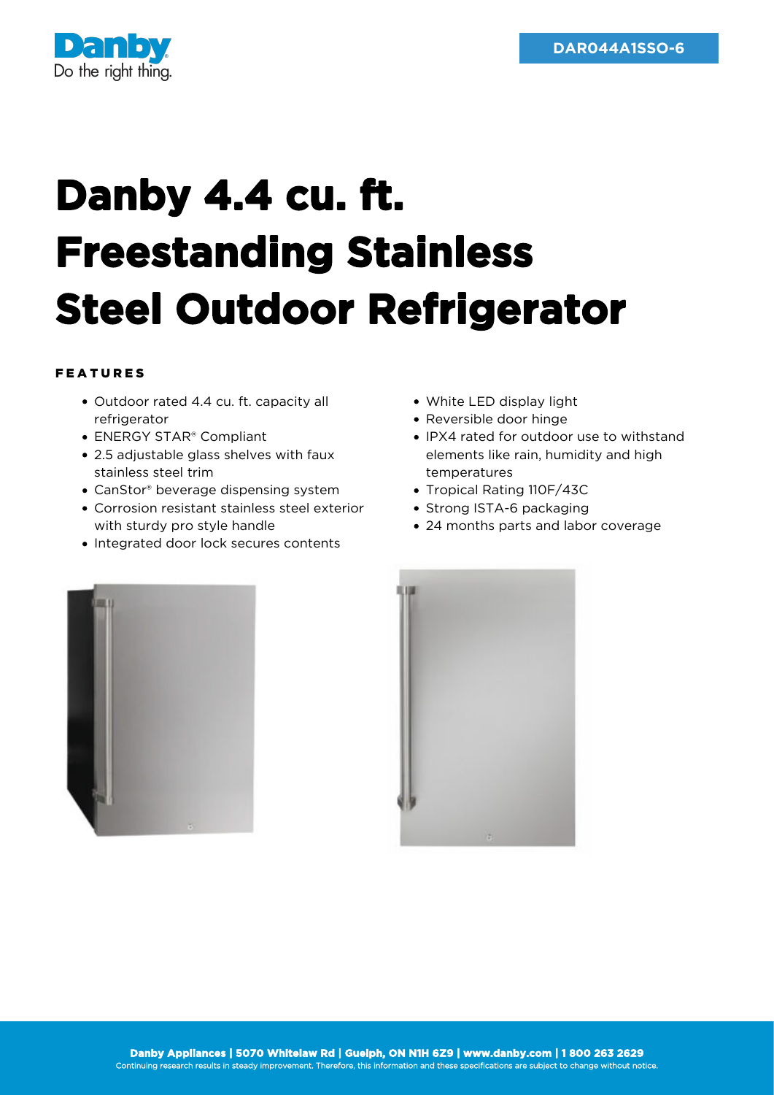

## **Danby 4.4 cu. ft. Freestanding Stainless Steel Outdoor Refrigerator**

## FEATURES

- Outdoor rated 4.4 cu. ft. capacity all refrigerator
- ENERGY STAR® Compliant
- 2.5 adjustable glass shelves with faux stainless steel trim
- CanStor® beverage dispensing system
- Corrosion resistant stainless steel exterior with sturdy pro style handle
- Integrated door lock secures contents
- White LED display light
- Reversible door hinge
- IPX4 rated for outdoor use to withstand elements like rain, humidity and high temperatures
- Tropical Rating 110F/43C
- Strong ISTA-6 packaging
- 24 months parts and labor coverage